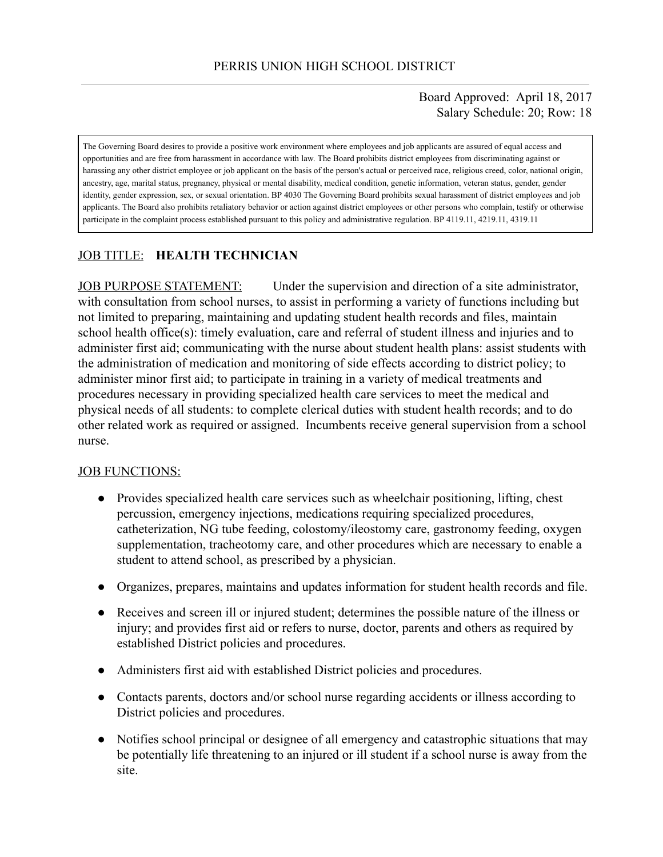### Board Approved: April 18, 2017 Salary Schedule: 20; Row: 18

The Governing Board desires to provide a positive work environment where employees and job applicants are assured of equal access and opportunities and are free from harassment in accordance with law. The Board prohibits district employees from discriminating against or harassing any other district employee or job applicant on the basis of the person's actual or perceived race, religious creed, color, national origin, ancestry, age, marital status, pregnancy, physical or mental disability, medical condition, genetic information, veteran status, gender, gender identity, gender expression, sex, or sexual orientation. BP 4030 The Governing Board prohibits sexual harassment of district employees and job applicants. The Board also prohibits retaliatory behavior or action against district employees or other persons who complain, testify or otherwise participate in the complaint process established pursuant to this policy and administrative regulation. BP 4119.11, 4219.11, 4319.11

# JOB TITLE: **HEALTH TECHNICIAN**

JOB PURPOSE STATEMENT: Under the supervision and direction of a site administrator, with consultation from school nurses, to assist in performing a variety of functions including but not limited to preparing, maintaining and updating student health records and files, maintain school health office(s): timely evaluation, care and referral of student illness and injuries and to administer first aid; communicating with the nurse about student health plans: assist students with the administration of medication and monitoring of side effects according to district policy; to administer minor first aid; to participate in training in a variety of medical treatments and procedures necessary in providing specialized health care services to meet the medical and physical needs of all students: to complete clerical duties with student health records; and to do other related work as required or assigned. Incumbents receive general supervision from a school nurse.

### JOB FUNCTIONS:

- Provides specialized health care services such as wheelchair positioning, lifting, chest percussion, emergency injections, medications requiring specialized procedures, catheterization, NG tube feeding, colostomy/ileostomy care, gastronomy feeding, oxygen supplementation, tracheotomy care, and other procedures which are necessary to enable a student to attend school, as prescribed by a physician.
- Organizes, prepares, maintains and updates information for student health records and file.
- Receives and screen ill or injured student; determines the possible nature of the illness or injury; and provides first aid or refers to nurse, doctor, parents and others as required by established District policies and procedures.
- Administers first aid with established District policies and procedures.
- Contacts parents, doctors and/or school nurse regarding accidents or illness according to District policies and procedures.
- Notifies school principal or designee of all emergency and catastrophic situations that may be potentially life threatening to an injured or ill student if a school nurse is away from the site.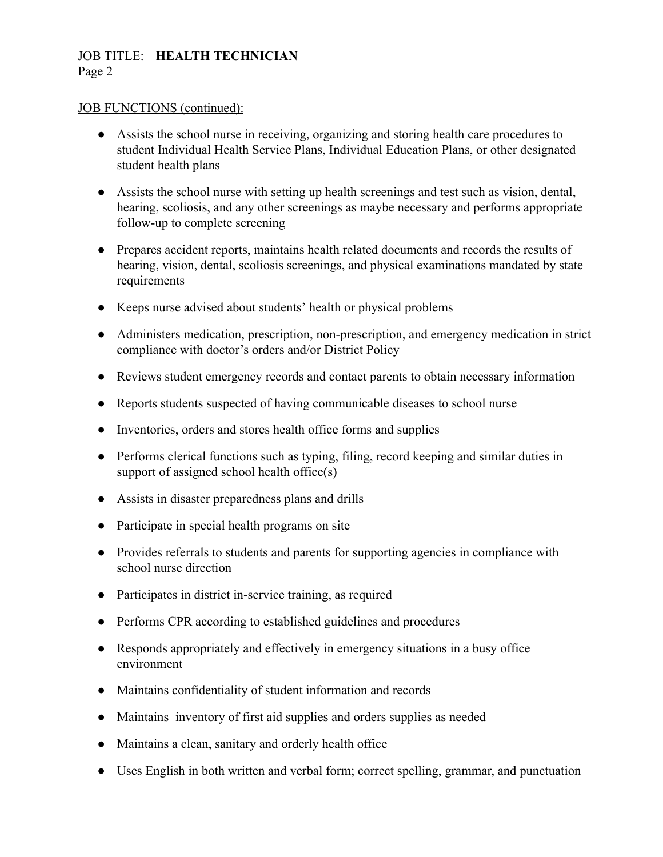## JOB TITLE: **HEALTH TECHNICIAN** Page 2

### JOB FUNCTIONS (continued):

- Assists the school nurse in receiving, organizing and storing health care procedures to student Individual Health Service Plans, Individual Education Plans, or other designated student health plans
- Assists the school nurse with setting up health screenings and test such as vision, dental, hearing, scoliosis, and any other screenings as maybe necessary and performs appropriate follow-up to complete screening
- Prepares accident reports, maintains health related documents and records the results of hearing, vision, dental, scoliosis screenings, and physical examinations mandated by state requirements
- Keeps nurse advised about students' health or physical problems
- Administers medication, prescription, non-prescription, and emergency medication in strict compliance with doctor's orders and/or District Policy
- Reviews student emergency records and contact parents to obtain necessary information
- Reports students suspected of having communicable diseases to school nurse
- Inventories, orders and stores health office forms and supplies
- Performs clerical functions such as typing, filing, record keeping and similar duties in support of assigned school health office(s)
- Assists in disaster preparedness plans and drills
- Participate in special health programs on site
- Provides referrals to students and parents for supporting agencies in compliance with school nurse direction
- Participates in district in-service training, as required
- Performs CPR according to established guidelines and procedures
- Responds appropriately and effectively in emergency situations in a busy office environment
- Maintains confidentiality of student information and records
- Maintains inventory of first aid supplies and orders supplies as needed
- Maintains a clean, sanitary and orderly health office
- Uses English in both written and verbal form; correct spelling, grammar, and punctuation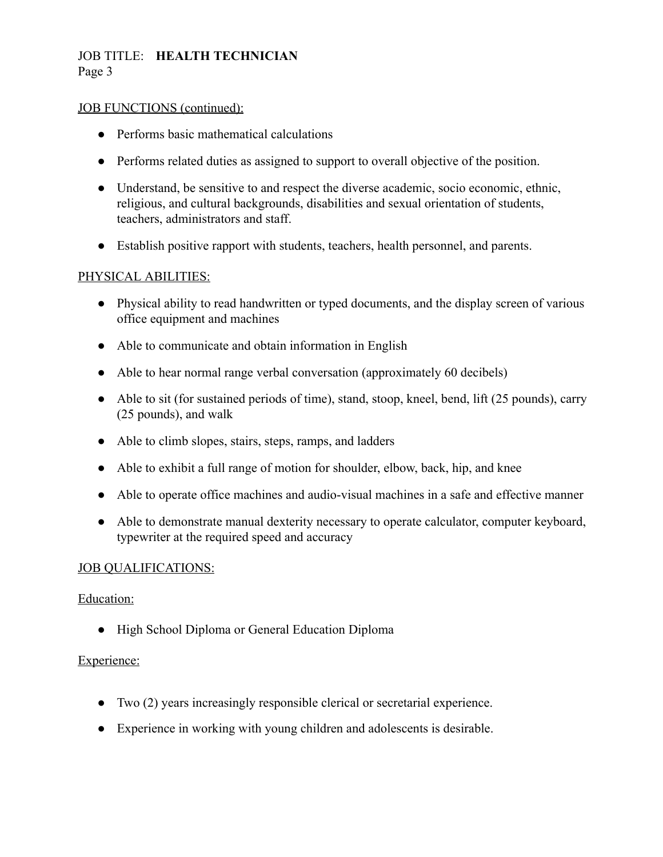# JOB TITLE: **HEALTH TECHNICIAN** Page 3

### JOB FUNCTIONS (continued):

- Performs basic mathematical calculations
- Performs related duties as assigned to support to overall objective of the position.
- Understand, be sensitive to and respect the diverse academic, socio economic, ethnic, religious, and cultural backgrounds, disabilities and sexual orientation of students, teachers, administrators and staff.
- Establish positive rapport with students, teachers, health personnel, and parents.

## PHYSICAL ABILITIES:

- Physical ability to read handwritten or typed documents, and the display screen of various office equipment and machines
- Able to communicate and obtain information in English
- Able to hear normal range verbal conversation (approximately 60 decibels)
- Able to sit (for sustained periods of time), stand, stoop, kneel, bend, lift (25 pounds), carry (25 pounds), and walk
- Able to climb slopes, stairs, steps, ramps, and ladders
- Able to exhibit a full range of motion for shoulder, elbow, back, hip, and knee
- Able to operate office machines and audio-visual machines in a safe and effective manner
- Able to demonstrate manual dexterity necessary to operate calculator, computer keyboard, typewriter at the required speed and accuracy

## JOB QUALIFICATIONS:

### Education:

● High School Diploma or General Education Diploma

## Experience:

- Two (2) years increasingly responsible clerical or secretarial experience.
- Experience in working with young children and adolescents is desirable.